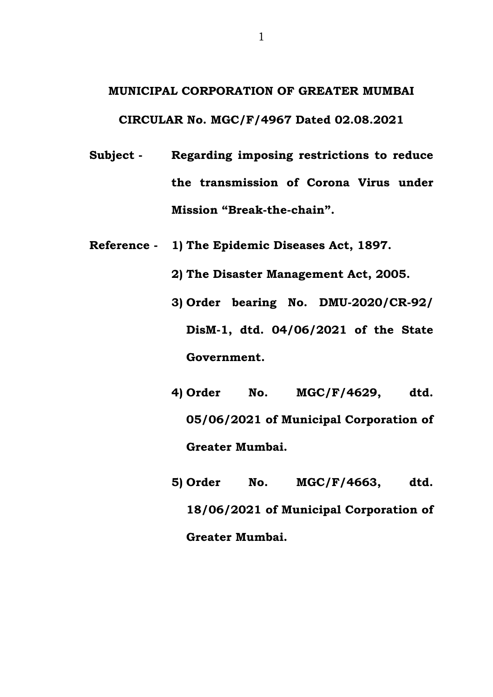## **MUNICIPAL CORPORATION OF GREATER MUMBAI CIRCULAR No. MGC/F/4967 Dated 02.08.2021**

- **Subject - Regarding imposing restrictions to reduce the transmission of Corona Virus under Mission "Break-the-chain".**
- **Reference - 1) The Epidemic Diseases Act, 1897.**
	- **2) The Disaster Management Act, 2005.**
	- **3) Order bearing No. DMU-2020/CR-92/ DisM-1, dtd. 04/06/2021 of the State Government.**
	- **4) Order No. MGC/F/4629, dtd. 05/06/2021 of Municipal Corporation of Greater Mumbai.**
	- **5) Order No. MGC/F/4663, dtd. 18/06/2021 of Municipal Corporation of Greater Mumbai.**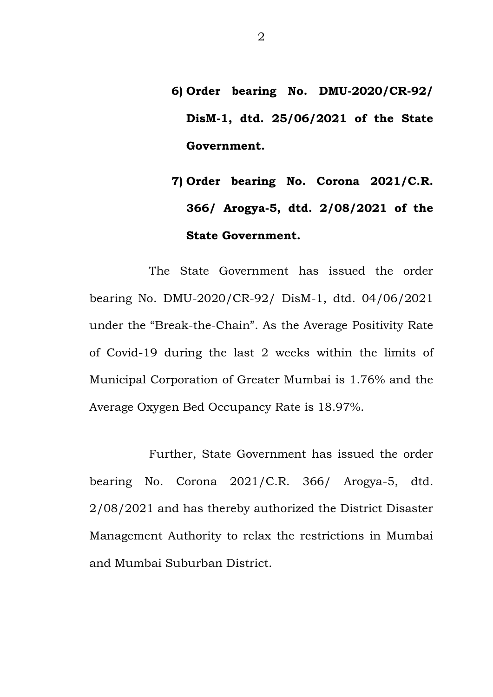- **6) Order bearing No. DMU-2020/CR-92/ DisM-1, dtd. 25/06/2021 of the State Government.**
- **7) Order bearing No. Corona 2021/C.R. 366/ Arogya-5, dtd. 2/08/2021 of the State Government.**

The State Government has issued the order bearing No. DMU-2020/CR-92/ DisM-1, dtd. 04/06/2021 under the "Break-the-Chain". As the Average Positivity Rate of Covid-19 during the last 2 weeks within the limits of Municipal Corporation of Greater Mumbai is 1.76% and the Average Oxygen Bed Occupancy Rate is 18.97%.

Further, State Government has issued the order bearing No. Corona 2021/C.R. 366/ Arogya-5, dtd. 2/08/2021 and has thereby authorized the District Disaster Management Authority to relax the restrictions in Mumbai and Mumbai Suburban District.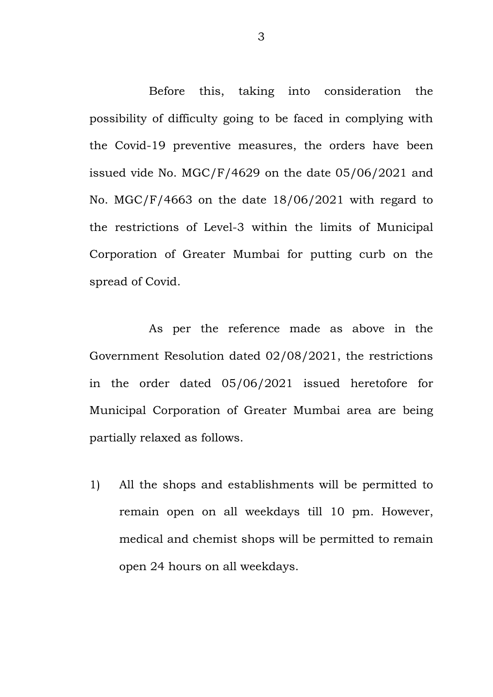Before this, taking into consideration the possibility of difficulty going to be faced in complying with the Covid-19 preventive measures, the orders have been issued vide No. MGC/F/4629 on the date 05/06/2021 and No. MGC/F/4663 on the date 18/06/2021 with regard to the restrictions of Level-3 within the limits of Municipal Corporation of Greater Mumbai for putting curb on the spread of Covid.

As per the reference made as above in the Government Resolution dated 02/08/2021, the restrictions in the order dated 05/06/2021 issued heretofore for Municipal Corporation of Greater Mumbai area are being partially relaxed as follows.

1) All the shops and establishments will be permitted to remain open on all weekdays till 10 pm. However, medical and chemist shops will be permitted to remain open 24 hours on all weekdays.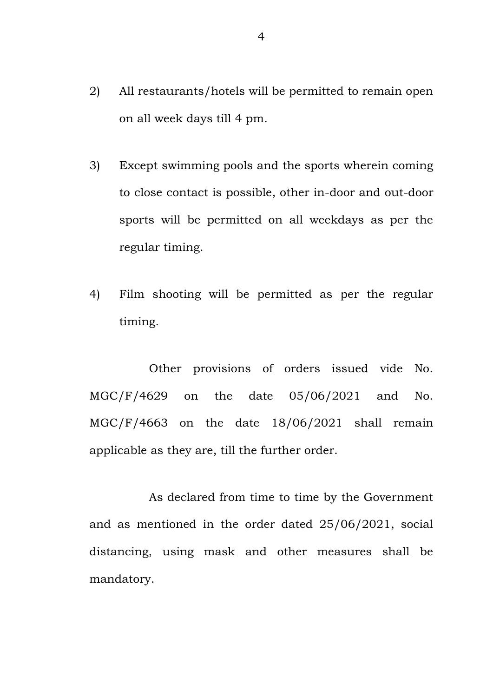- 2) All restaurants/hotels will be permitted to remain open on all week days till 4 pm.
- 3) Except swimming pools and the sports wherein coming to close contact is possible, other in-door and out-door sports will be permitted on all weekdays as per the regular timing.
- 4) Film shooting will be permitted as per the regular timing.

Other provisions of orders issued vide No. MGC/F/4629 on the date 05/06/2021 and No. MGC/F/4663 on the date 18/06/2021 shall remain applicable as they are, till the further order.

As declared from time to time by the Government and as mentioned in the order dated 25/06/2021, social distancing, using mask and other measures shall be mandatory.